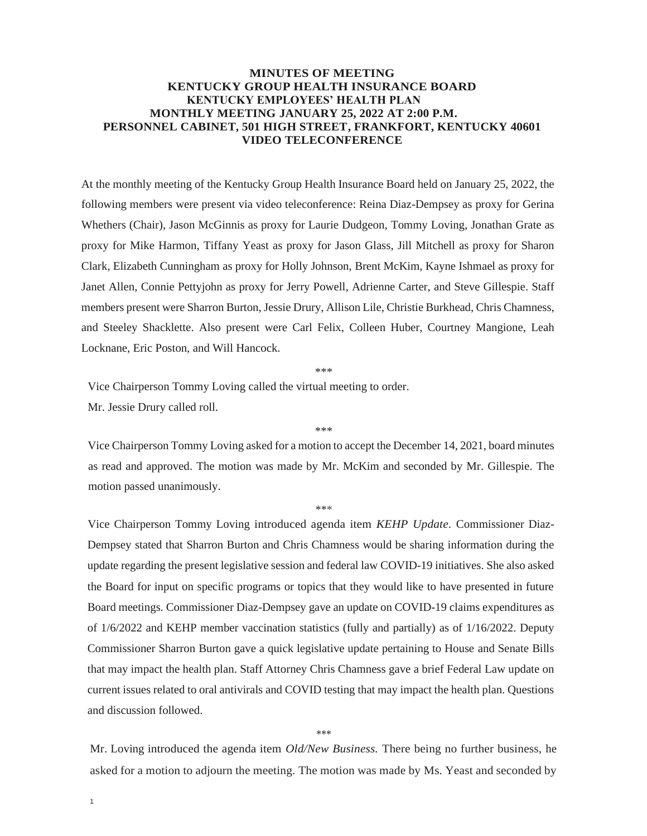## **MINUTES OF MEETING KENTUCKY GROUP HEALTH INSURANCE BOARD KENTUCKY EMPLOYEES' HEALTH PLAN MONTHLY MEETING JANUARY 25, 2022 AT 2:00 P.M. PERSONNEL CABINET, 501 HIGH STREET, FRANKFORT, KENTUCKY 40601 VIDEO TELECONFERENCE**

At the monthly meeting of the Kentucky Group Health Insurance Board held on January 25, 2022, the following members were present via video teleconference: Reina Diaz-Dempsey as proxy for Gerina Whethers (Chair), Jason McGinnis as proxy for Laurie Dudgeon, Tommy Loving, Jonathan Grate as proxy for Mike Harmon, Tiffany Yeast as proxy for Jason Glass, Jill Mitchell as proxy for Sharon Clark, Elizabeth Cunningham as proxy for Holly Johnson, Brent McKim, Kayne Ishmael as proxy for Janet Allen, Connie Pettyjohn as proxy for Jerry Powell, Adrienne Carter, and Steve Gillespie. Staff members present were Sharron Burton, Jessie Drury, Allison Lile, Christie Burkhead, Chris Chamness, and Steeley Shacklette. Also present were Carl Felix, Colleen Huber, Courtney Mangione, Leah Locknane, Eric Poston, and Will Hancock.

\*\*\*

Vice Chairperson Tommy Loving called the virtual meeting to order.

Mr. Jessie Drury called roll.

Vice Chairperson Tommy Loving asked for a motion to accept the December 14, 2021, board minutes as read and approved. The motion was made by Mr. McKim and seconded by Mr. Gillespie. The motion passed unanimously.

\*\*\*

\*\*\*

Vice Chairperson Tommy Loving introduced agenda item *KEHP Update.* Commissioner Diaz-Dempsey stated that Sharron Burton and Chris Chamness would be sharing information during the update regarding the present legislative session and federal law COVID-19 initiatives. She also asked the Board for input on specific programs or topics that they would like to have presented in future Board meetings. Commissioner Diaz-Dempsey gave an update on COVID-19 claims expenditures as of 1/6/2022 and KEHP member vaccination statistics (fully and partially) as of 1/16/2022. Deputy Commissioner Sharron Burton gave a quick legislative update pertaining to House and Senate Bills that may impact the health plan. Staff Attorney Chris Chamness gave a brief Federal Law update on current issues related to oral antivirals and COVID testing that may impact the health plan. Questions and discussion followed.

## \*\*\*

Mr. Loving introduced the agenda item *Old/New Business.* There being no further business, he asked for a motion to adjourn the meeting. The motion was made by Ms. Yeast and seconded by